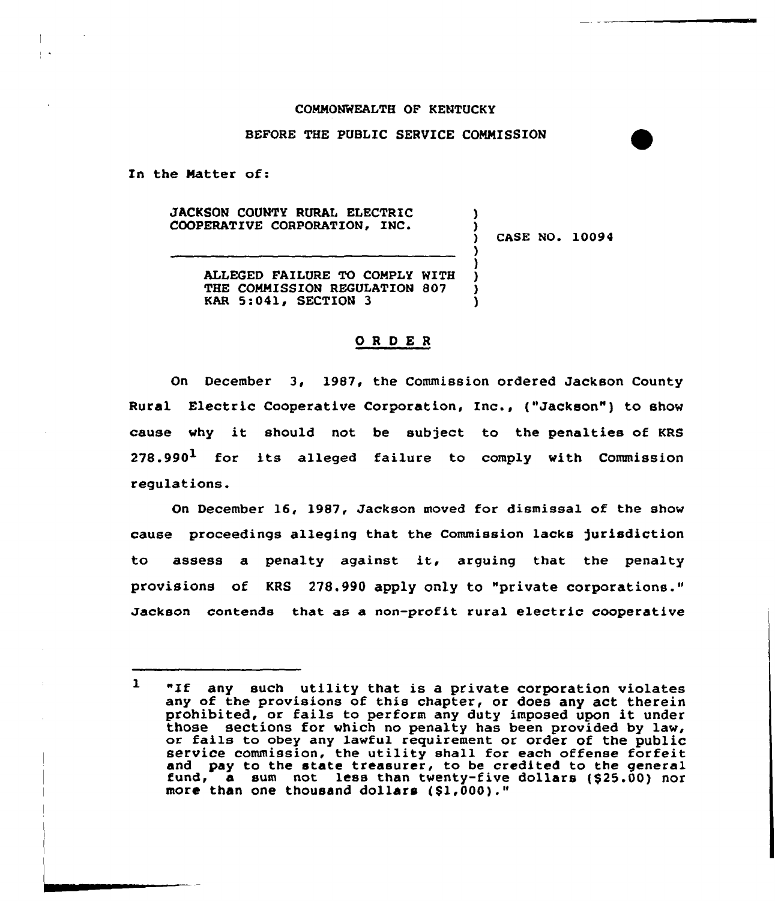## COMMONWEALTH OF KENTUCKY

## BEFORE THE PUBLIC SERVICE COMMISSION

In the Matter of:

 $\mathbb{R}^{\bullet}$ 

JACKSON COUNTY RURAL ELECTRIC COOPERATIVE CORPORATION, INC.

CASE NO. 10094

) )

) ) ) ) )

ALLEGED FAILURE TO COMPLY WITH THE COMMISSION REGULATION 807 KAR 5:041, SECTION 3

## ORDER

On December 3, 1987, the Commission ordered Jackson County Rural Electric Cooperative Corporation, Inc., ("Jackson") to show cause why it should not be subject to the penalties of KRS 278.990 $^{\text{1}}$  for its alleged failure to comply with Commissio regulations.

On December 16, 1987, Jackson moved for dismissal of the show cause proceedings alleginq that the Commission lacks )urisdiction to assess <sup>a</sup> penalty against it, arguing that the penalty provisions of KRS 278.990 apply only to "private corporations." Jackson contends that as a non-profit rural electric cooperative

 $\mathbf{1}$ "If any such utility that is a private corporation violates any of the provisions of this chapter, or does any act therein prohibited, or fails to perform any duty imposed upon it under those sections for which no penalty has been provided by law, or fails to obey any lawful requirement or order of the public service commission, the utility shall for each offense forfeit and pay to the state treasurer, to be credited to the general fund, a sum not less than twenty-five dollars (\$25.00) nor more than one thousand dollars (\$1,000)."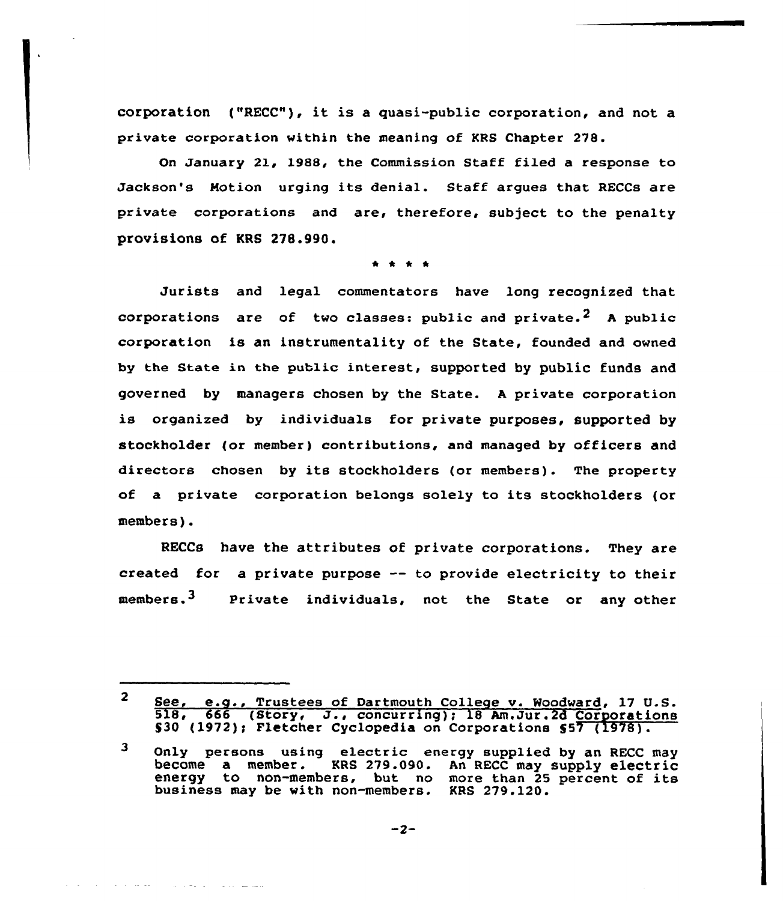corporation ("RECC"), it is <sup>a</sup> guasi-public corporation, and not <sup>a</sup> private corpoxation within the meaning of KRS Chapter 278.

On January 21, 1988, the Commission Staff filed a response to Jackson's Notion urging its denial. Staff argues that RECCs are private corporations and are, therefore, subject to the penalty provisions of KRS 278.990.

Jurists and legal commentators have long recognized that corporations are of two classes: public and private.<sup>2</sup> A public corporation is an instrumentality of the State, founded and owned by the State in the public interest, supported by public funds and governed by managers chosen by the State. <sup>A</sup> private corporation is organized by individuals for private purposes, supported by stockholder (or member} contributions, and managed by officers and directors chosen by its stockholders (or members). The property of a private corporation belongs solely to its stockholders (or members).

RECCs have the attributes of private corporations. They are created for a private purpose  $-$  to provide electricity to their members.<sup>3</sup> Private individuals, not the State or any other

متساعف ووالان والتفاعل والمتحدث والمتحدث والمنادرة والمنادرة

<sup>2</sup> See, e.g., Trustees of Dartmouth College v. Woodward, 17 U.S.<br>518, 666 (Story, J., concurring); 18 Am.Jur.2d Corporations \$30 (1972); Fletcher Cyclopedia on Corporations \$57 (1978).

<sup>3</sup> Only persons using electric energy supplied by an RECC may become a member. KRS 279.090. An RECC may supply electric KRS 279.090. An RECC may supply electric energy to non-members, but no more than 25 percent of its business may be with non-members. KRS 279.120.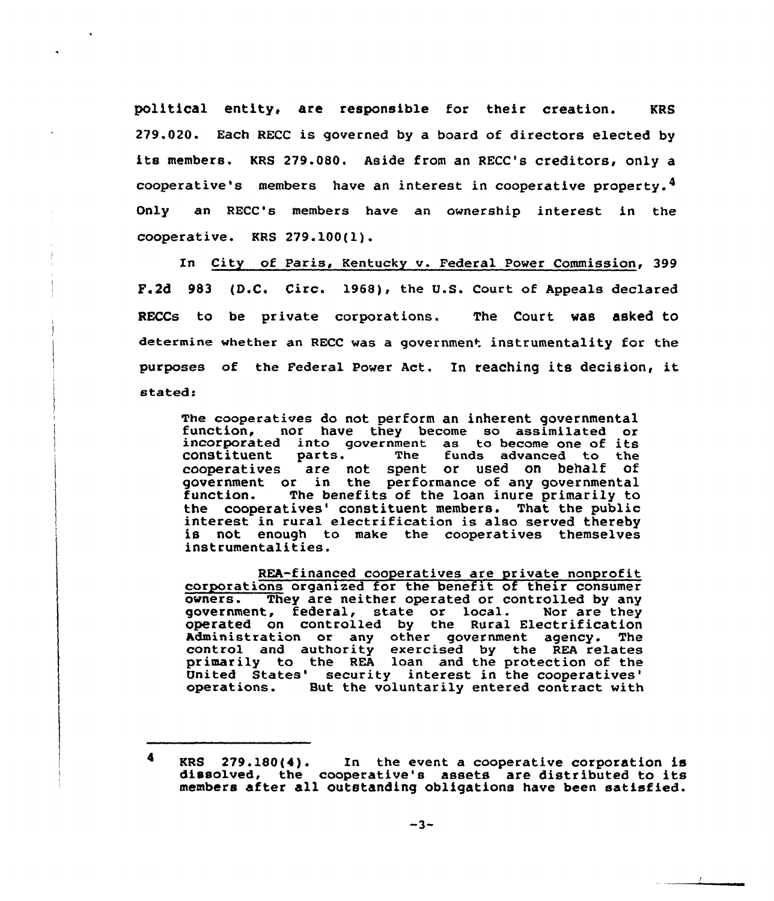political entity, are responsible for their creation. KRS 279.020. Each RECC is governed by a board of directors elected by its members. KRS 279.080. Aside from an RECC's creditors, only <sup>a</sup> cooperative's members have an interest in cooperative property.4 Only an RECC's members have an ownership interest in the cooperative. KRS 279.100(l).

In City of Paris, Kentucky v. Federal Power Commission, 399 F.2d 983 (D.C, Circ. 1968), the U.S. Court of Appeals declared RECCs to be private corporations. The Court was asked to determine whether an RECC was a government instrumentality for the purposes of the Federal Power Act. In reaching its decision, it stated:

The cooperatives do not perform an inherent governmental function, nor have they become so assimilated or incorporated into government as to become one of its constituent parts. The funds advanced to the cooperatives are n parts. The funds advanced to the<br>are not spent or used on behalf of government or in the performance of any governmental<br>function. The benefits of the loan inure primarily to The benefits of the loan inure primarily to the cooperatives' constituent members. That the public<br>interest in rural electrification is also served thereby<br>is not enough to make the cooperatives themselves instrumentalities.

REA-financed cooperatives are private nonprofit corporations organized for the benefit of their consumer<br>owners. They are neither operated or controlled by any They are neither operated or controlled by any government, federal, state or local. Nor are they operated on controlled by the Rural Electrification Administration or any other government agency. The control and authority exercised by the REA relates primarily to the REA loan and the protection of the United States' security interest in the cooperatives'<br>operations. But the voluntarily entered contract with

<sup>4</sup> KRS 279.180(4). In the event <sup>a</sup> cooperative corporation is dissolved, the cooperative's assets are distributed to its members after all outstanding obligations have been satisfied.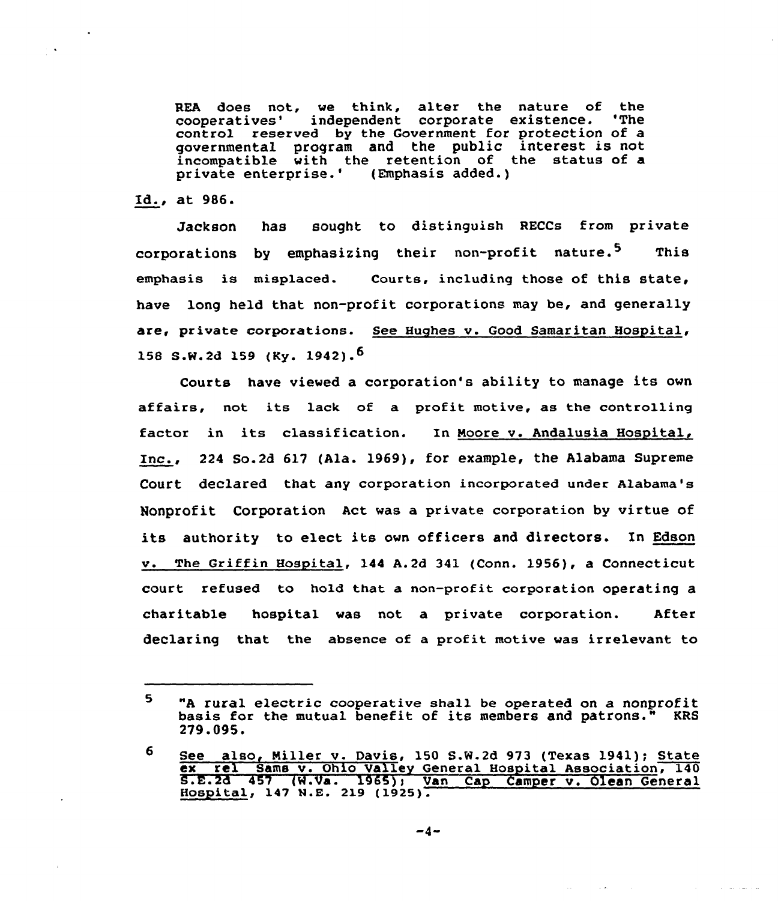REA does not, we think, alter the nature of the cooperatives' independent corporate existence. 'The control reserved by the Government for protection of a governmental program and the public interest is not incompatible with the retention of the status of a private enterprise.'Emphasis added.)

Id., at 986.

 $\mathbf{v}$ 

Jackson has sought to distinguish RECCs from private corporations by emphasizing their non-profit nature.<sup>5</sup> This emphasis is misplaced. Courts, including those of this state, have long held that non-profit corporations may be, and generally are, private corporations. See Hughes v. Good Samaritan Hospital, 158 S.W.2d 159 (Ky. 1942).<sup>5</sup>

Courts have viewed a corporation's ability to manage its own affairs, not its lack of a profit motive, as the controlling factor in its classification. In Moore v. Andalusia Hospital, Inc., <sup>224</sup> So.2d 617 (Ala. 1969), for example, the Alabama Supreme Court declared that any corporation incorporated under Alabama's Nonprofit Corporation Act was a private corporation by virtue of its authority to elect its own officers and directors. In Edson v. The Griffin Hospital, 144 A.2d 341 (Conn. 1956), a Connecticut court refused to hold that a non-profit corporation operating a charitable hospital was not a private corporation. After declaring that the absence of a profit motive was irrelevant to

 $\sim 100$ 

والمتواصل والمتاري

 $\sim 100$  km

 $\sim$ 

<sup>5.</sup> "A rural electric cooperative shall be operated on <sup>a</sup> nonprofit basis for the mutual benefit of its members and patrons." KRS 279.095.

<sup>6</sup> See also, Miller v. Davis, 150 S.W.2d 973 (Texas 1941); State ex rel Sama v. Ohio Valley General Hospital Association, 140<br>S.E.2d 457 (W.Va. 1965), Van Cap Camper v. Olean General<br>Hospital, 147 N.E. 219 (1925).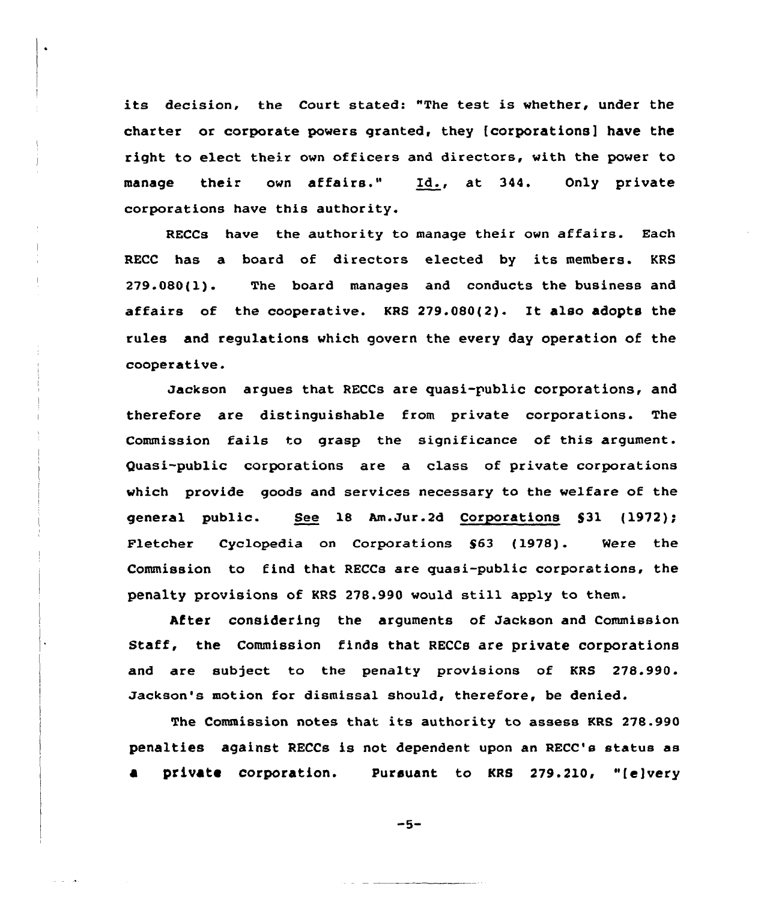its decision, the Court stated: "The test is whether, under the charter or corporate powers granted, they (corporations] have the right to elect their own officers and directors, with the power to manage their own affairs." Id., at 344. Only private corporations have this authority.

RECCs have the authority to manage their own affairs. Each RECC has a board of directors elected by its members. KRS 279.080(l). The board manages and conducts the business and affairs of the cooperative. KRS 279.080(2). It also adopts the rules and regulations which govern the every day operation of the cooperative.

Jackson argues that RECCs are quasi-public corporations, and therefore are distinguishable from private corporations. The Commission fails to grasp the significance of this argument. Quasi-public corporations are a class of private corporations which provide goods and services necessary to the welfare of the general public. See 18 Am.Jur.2d Corporations  $$31$   $(1972)$ ; Fletcher Cyclopedia on Corporations S63 (1978). Were the Commission to find that RECCs are quasi-public corporations, the penalty provisions of KRS 278.990 would still apply to them.

After considering the arguments of Jackson and Commission Staff, the Commission finds that RECCs are private corporations and are subject to the penalty provisions of KRS 278.990. Jackson's motion for dismissal should, therefore, be denied.

The Commission notes that its authority to assess KRS 278.990 penalties against RECCs is not dependent upon an RECC's status as private corporation. Pursuant to KRS 279.210, "(e)very

 $-5-$